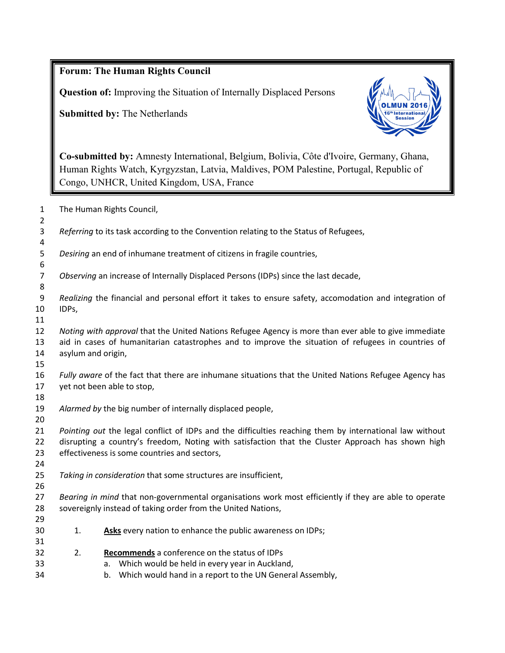|                      | <b>Forum: The Human Rights Council</b>                                                                                                                                                                                                                       |  |  |
|----------------------|--------------------------------------------------------------------------------------------------------------------------------------------------------------------------------------------------------------------------------------------------------------|--|--|
|                      | <b>Question of:</b> Improving the Situation of Internally Displaced Persons                                                                                                                                                                                  |  |  |
|                      | <b>Submitted by: The Netherlands</b>                                                                                                                                                                                                                         |  |  |
|                      | Co-submitted by: Amnesty International, Belgium, Bolivia, Côte d'Ivoire, Germany, Ghana,<br>Human Rights Watch, Kyrgyzstan, Latvia, Maldives, POM Palestine, Portugal, Republic of<br>Congo, UNHCR, United Kingdom, USA, France                              |  |  |
| 1<br>2               | The Human Rights Council,                                                                                                                                                                                                                                    |  |  |
| 3<br>4               | Referring to its task according to the Convention relating to the Status of Refugees,                                                                                                                                                                        |  |  |
| 5<br>6               | Desiring an end of inhumane treatment of citizens in fragile countries,                                                                                                                                                                                      |  |  |
| 7<br>8               | Observing an increase of Internally Displaced Persons (IDPs) since the last decade,                                                                                                                                                                          |  |  |
| 9<br>10<br>11        | Realizing the financial and personal effort it takes to ensure safety, accomodation and integration of<br>IDPs,                                                                                                                                              |  |  |
| 12<br>13<br>14<br>15 | Noting with approval that the United Nations Refugee Agency is more than ever able to give immediate<br>aid in cases of humanitarian catastrophes and to improve the situation of refugees in countries of<br>asylum and origin,                             |  |  |
| 16<br>17<br>18       | Fully aware of the fact that there are inhumane situations that the United Nations Refugee Agency has<br>yet not been able to stop,                                                                                                                          |  |  |
| 19<br>20             | Alarmed by the big number of internally displaced people,                                                                                                                                                                                                    |  |  |
| 21<br>22<br>23<br>24 | Pointing out the legal conflict of IDPs and the difficulties reaching them by international law without<br>disrupting a country's freedom, Noting with satisfaction that the Cluster Approach has shown high<br>effectiveness is some countries and sectors, |  |  |
| 25<br>26             | Taking in consideration that some structures are insufficient,                                                                                                                                                                                               |  |  |
| 27<br>28<br>29       | Bearing in mind that non-governmental organisations work most efficiently if they are able to operate<br>sovereignly instead of taking order from the United Nations,                                                                                        |  |  |
| 30<br>31             | Asks every nation to enhance the public awareness on IDPs;<br>1.                                                                                                                                                                                             |  |  |
| 32<br>33<br>34       | 2.<br>Recommends a conference on the status of IDPs<br>Which would be held in every year in Auckland,<br>a.<br>Which would hand in a report to the UN General Assembly,<br>b.                                                                                |  |  |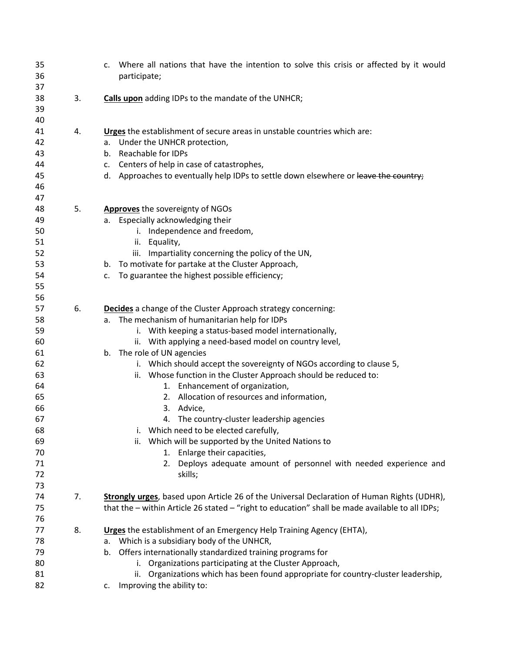| 35<br>36<br>37                                                                                     |    | Where all nations that have the intention to solve this crisis or affected by it would<br>C.<br>participate;                                                                                                                                                                                                                                                                                                                                                                                                                                                                                                                                                                                                                                                                               |
|----------------------------------------------------------------------------------------------------|----|--------------------------------------------------------------------------------------------------------------------------------------------------------------------------------------------------------------------------------------------------------------------------------------------------------------------------------------------------------------------------------------------------------------------------------------------------------------------------------------------------------------------------------------------------------------------------------------------------------------------------------------------------------------------------------------------------------------------------------------------------------------------------------------------|
| 38<br>39<br>40                                                                                     | 3. | <b>Calls upon</b> adding IDPs to the mandate of the UNHCR;                                                                                                                                                                                                                                                                                                                                                                                                                                                                                                                                                                                                                                                                                                                                 |
| 41<br>42<br>43<br>44<br>45<br>46<br>47                                                             | 4. | Urges the establishment of secure areas in unstable countries which are:<br>a. Under the UNHCR protection,<br>b. Reachable for IDPs<br>Centers of help in case of catastrophes,<br>c.<br>d. Approaches to eventually help IDPs to settle down elsewhere or leave the country;                                                                                                                                                                                                                                                                                                                                                                                                                                                                                                              |
| 48<br>49<br>50<br>51<br>52<br>53<br>54<br>55<br>56                                                 | 5. | <b>Approves</b> the sovereignty of NGOs<br>a. Especially acknowledging their<br>i. Independence and freedom,<br>Equality,<br>ii.<br>Impartiality concerning the policy of the UN,<br>iii.<br>b. To motivate for partake at the Cluster Approach,<br>To guarantee the highest possible efficiency;<br>c.                                                                                                                                                                                                                                                                                                                                                                                                                                                                                    |
| 57<br>58<br>59<br>60<br>61<br>62<br>63<br>64<br>65<br>66<br>67<br>68<br>69<br>70<br>71<br>72<br>73 | 6. | Decides a change of the Cluster Approach strategy concerning:<br>a. The mechanism of humanitarian help for IDPs<br>i. With keeping a status-based model internationally,<br>ii. With applying a need-based model on country level,<br>b. The role of UN agencies<br>i. Which should accept the sovereignty of NGOs according to clause 5,<br>ii. Whose function in the Cluster Approach should be reduced to:<br>1. Enhancement of organization,<br>Allocation of resources and information,<br>2.<br>Advice,<br>3.<br>4. The country-cluster leadership agencies<br>i. Which need to be elected carefully,<br>Which will be supported by the United Nations to<br>ii.<br>1. Enlarge their capacities,<br>Deploys adequate amount of personnel with needed experience and<br>2.<br>skills; |
| 74<br>75<br>76                                                                                     | 7. | Strongly urges, based upon Article 26 of the Universal Declaration of Human Rights (UDHR),<br>that the - within Article 26 stated - "right to education" shall be made available to all IDPs;                                                                                                                                                                                                                                                                                                                                                                                                                                                                                                                                                                                              |
| 77<br>78<br>79<br>80<br>81<br>82                                                                   | 8. | Urges the establishment of an Emergency Help Training Agency (EHTA),<br>a. Which is a subsidiary body of the UNHCR,<br>b. Offers internationally standardized training programs for<br>Organizations participating at the Cluster Approach,<br>i.<br>Organizations which has been found appropriate for country-cluster leadership,<br>ii.<br>c. Improving the ability to:                                                                                                                                                                                                                                                                                                                                                                                                                 |